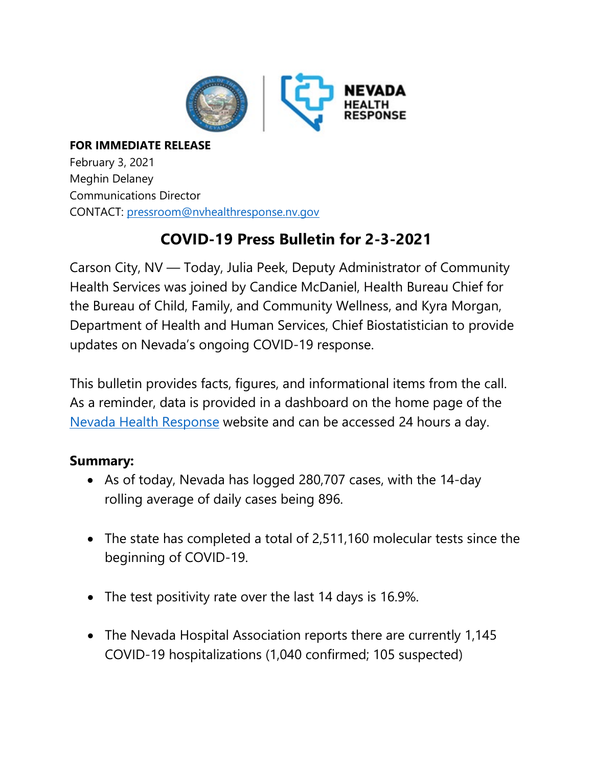

## **FOR IMMEDIATE RELEASE** February 3, 2021 Meghin Delaney Communications Director CONTACT: [pressroom@nvhealthresponse.nv.gov](mailto:pressroom@nvhealthresponse.nv.gov)

# **COVID-19 Press Bulletin for 2-3-2021**

Carson City, NV — Today, Julia Peek, Deputy Administrator of Community Health Services was joined by Candice McDaniel, Health Bureau Chief for the Bureau of Child, Family, and Community Wellness, and Kyra Morgan, Department of Health and Human Services, Chief Biostatistician to provide updates on Nevada's ongoing COVID-19 response.

This bulletin provides facts, figures, and informational items from the call. As a reminder, data is provided in a dashboard on the home page of the Nevada Health [Response](https://nvhealthresponse.nv.gov/) website and can be accessed 24 hours a day.

# **Summary:**

- As of today, Nevada has logged 280,707 cases, with the 14-day rolling average of daily cases being 896.
- The state has completed a total of 2,511,160 molecular tests since the beginning of COVID-19.
- The test positivity rate over the last 14 days is 16.9%.
- The Nevada Hospital Association reports there are currently 1,145 COVID-19 hospitalizations (1,040 confirmed; 105 suspected)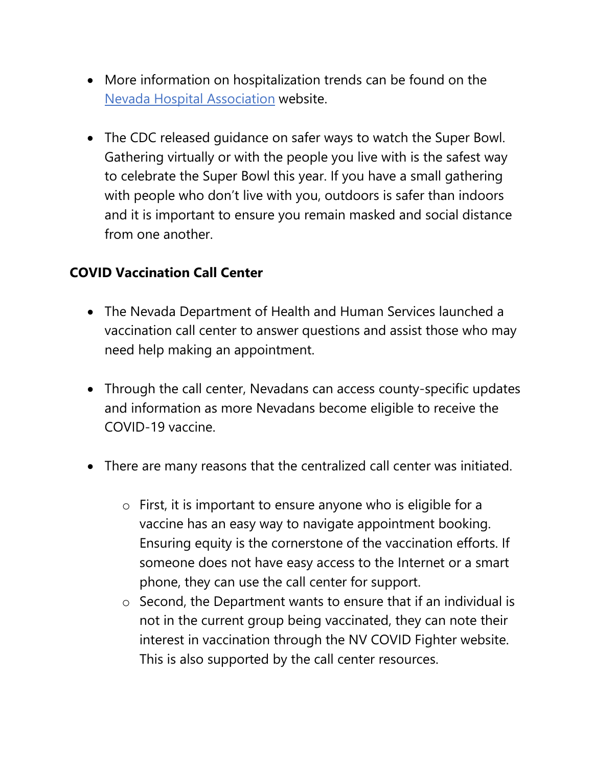- More information on hospitalization trends can be found on the Nevada Hospital [Association](http://nvha.net/news-and-updates-on-the-covid-19) website.
- The CDC released guidance on safer ways to watch the Super Bowl. Gathering virtually or with the people you live with is the safest way to celebrate the Super Bowl this year. If you have a small gathering with people who don't live with you, outdoors is safer than indoors and it is important to ensure you remain masked and social distance from one another.

## **COVID Vaccination Call Center**

- The Nevada Department of Health and Human Services launched a vaccination call center to answer questions and assist those who may need help making an appointment.
- Through the call center, Nevadans can access county-specific updates and information as more Nevadans become eligible to receive the COVID-19 vaccine.
- There are many reasons that the centralized call center was initiated.
	- o First, it is important to ensure anyone who is eligible for a vaccine has an easy way to navigate appointment booking. Ensuring equity is the cornerstone of the vaccination efforts. If someone does not have easy access to the Internet or a smart phone, they can use the call center for support.
	- o Second, the Department wants to ensure that if an individual is not in the current group being vaccinated, they can note their interest in vaccination through the NV COVID Fighter website. This is also supported by the call center resources.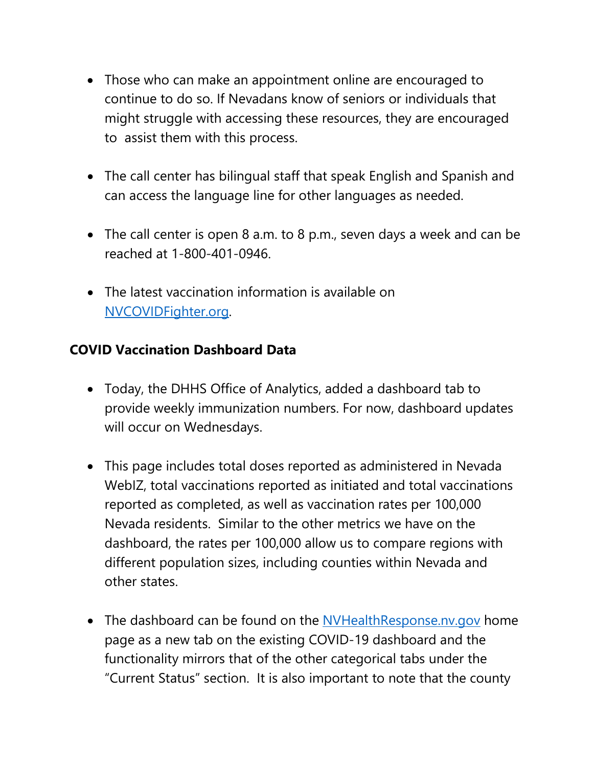- Those who can make an appointment online are encouraged to continue to do so. If Nevadans know of seniors or individuals that might struggle with accessing these resources, they are encouraged to assist them with this process.
- The call center has bilingual staff that speak English and Spanish and can access the language line for other languages as needed.
- The call center is open 8 a.m. to 8 p.m., seven days a week and can be reached at 1-800-401-0946.
- The latest vaccination information is available on [NVCOVIDFighter.org.](https://www.immunizenevada.org/nv-covid-fighter)

# **COVID Vaccination Dashboard Data**

- Today, the DHHS Office of Analytics, added a dashboard tab to provide weekly immunization numbers. For now, dashboard updates will occur on Wednesdays.
- This page includes total doses reported as administered in Nevada WebIZ, total vaccinations reported as initiated and total vaccinations reported as completed, as well as vaccination rates per 100,000 Nevada residents. Similar to the other metrics we have on the dashboard, the rates per 100,000 allow us to compare regions with different population sizes, including counties within Nevada and other states.
- The dashboard can be found on the [NVHealthResponse.nv.gov](https://nvhealthresponse.nv.gov/) home page as a new tab on the existing COVID-19 dashboard and the functionality mirrors that of the other categorical tabs under the "Current Status" section. It is also important to note that the county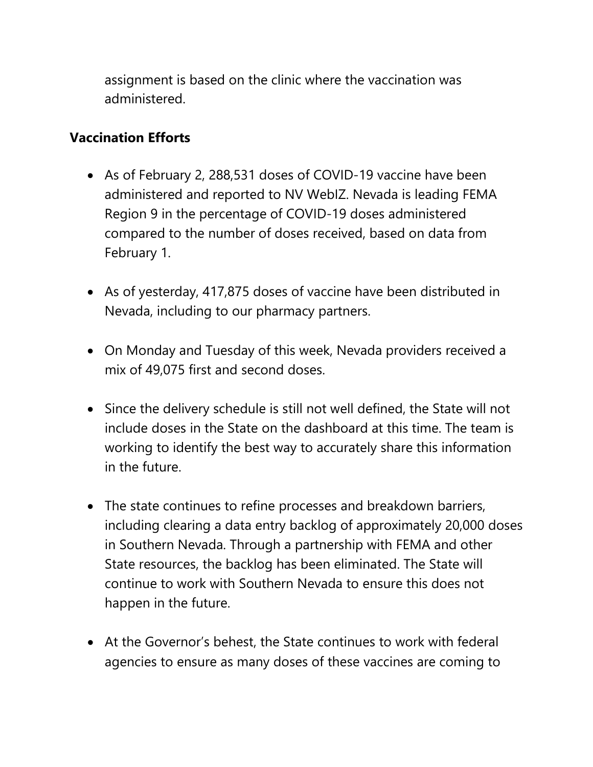assignment is based on the clinic where the vaccination was administered.

### **Vaccination Efforts**

- As of February 2, 288,531 doses of COVID-19 vaccine have been administered and reported to NV WebIZ. Nevada is leading FEMA Region 9 in the percentage of COVID-19 doses administered compared to the number of doses received, based on data from February 1.
- As of yesterday, 417,875 doses of vaccine have been distributed in Nevada, including to our pharmacy partners.
- On Monday and Tuesday of this week, Nevada providers received a mix of 49,075 first and second doses.
- Since the delivery schedule is still not well defined, the State will not include doses in the State on the dashboard at this time. The team is working to identify the best way to accurately share this information in the future.
- The state continues to refine processes and breakdown barriers, including clearing a data entry backlog of approximately 20,000 doses in Southern Nevada. Through a partnership with FEMA and other State resources, the backlog has been eliminated. The State will continue to work with Southern Nevada to ensure this does not happen in the future.
- At the Governor's behest, the State continues to work with federal agencies to ensure as many doses of these vaccines are coming to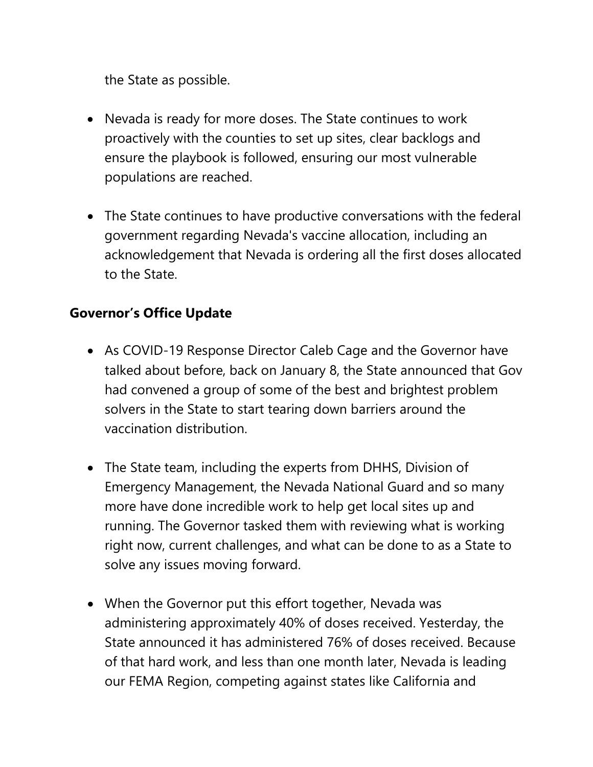the State as possible.

- Nevada is ready for more doses. The State continues to work proactively with the counties to set up sites, clear backlogs and ensure the playbook is followed, ensuring our most vulnerable populations are reached.
- The State continues to have productive conversations with the federal government regarding Nevada's vaccine allocation, including an acknowledgement that Nevada is ordering all the first doses allocated to the State.

## **Governor's Office Update**

- As COVID-19 Response Director Caleb Cage and the Governor have talked about before, back on January 8, the State announced that Gov had convened a group of some of the best and brightest problem solvers in the State to start tearing down barriers around the vaccination distribution.
- The State team, including the experts from DHHS, Division of Emergency Management, the Nevada National Guard and so many more have done incredible work to help get local sites up and running. The Governor tasked them with reviewing what is working right now, current challenges, and what can be done to as a State to solve any issues moving forward.
- When the Governor put this effort together, Nevada was administering approximately 40% of doses received. Yesterday, the State announced it has administered 76% of doses received. Because of that hard work, and less than one month later, Nevada is leading our FEMA Region, competing against states like California and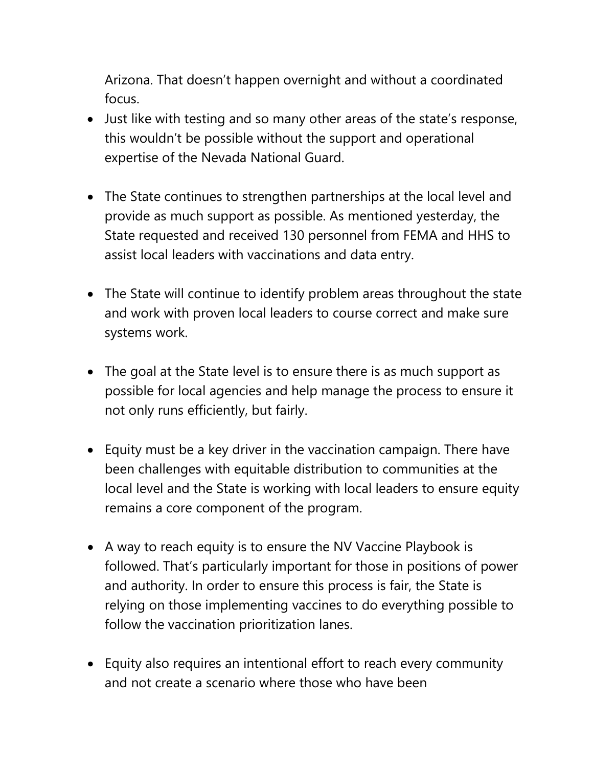Arizona. That doesn't happen overnight and without a coordinated focus.

- Just like with testing and so many other areas of the state's response, this wouldn't be possible without the support and operational expertise of the Nevada National Guard.
- The State continues to strengthen partnerships at the local level and provide as much support as possible. As mentioned yesterday, the State requested and received 130 personnel from FEMA and HHS to assist local leaders with vaccinations and data entry.
- The State will continue to identify problem areas throughout the state and work with proven local leaders to course correct and make sure systems work.
- The goal at the State level is to ensure there is as much support as possible for local agencies and help manage the process to ensure it not only runs efficiently, but fairly.
- Equity must be a key driver in the vaccination campaign. There have been challenges with equitable distribution to communities at the local level and the State is working with local leaders to ensure equity remains a core component of the program.
- A way to reach equity is to ensure the NV Vaccine Playbook is followed. That's particularly important for those in positions of power and authority. In order to ensure this process is fair, the State is relying on those implementing vaccines to do everything possible to follow the vaccination prioritization lanes.
- Equity also requires an intentional effort to reach every community and not create a scenario where those who have been